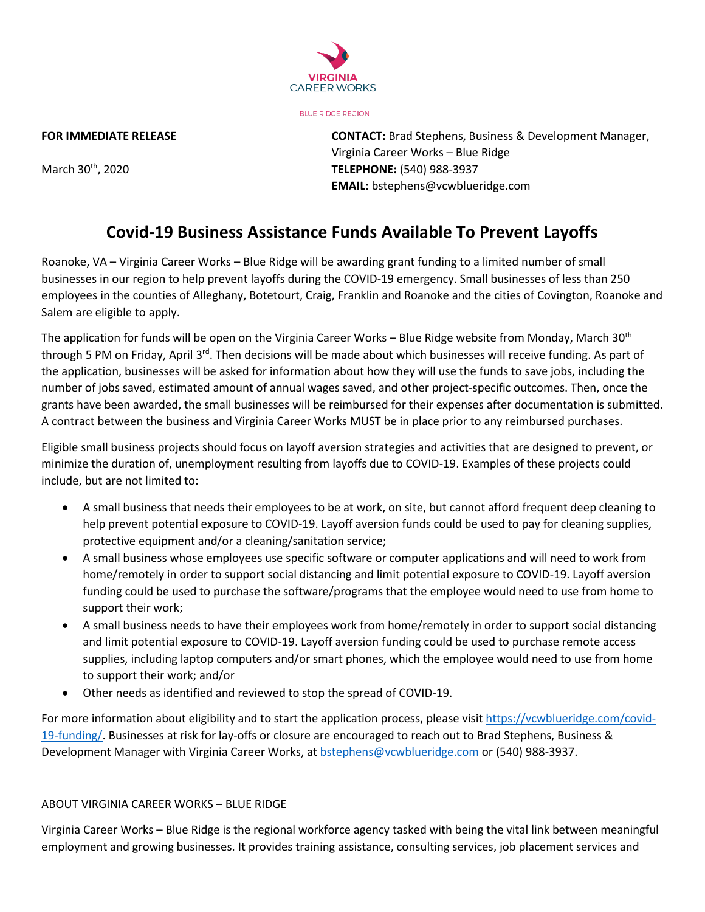

**FOR IMMEDIATE RELEASE CONTACT:** Brad Stephens, Business & Development Manager, Virginia Career Works – Blue Ridge March 30th, 2020 **TELEPHONE:** (540) 988-3937 **EMAIL:** bstephens@vcwblueridge.com

## **Covid-19 Business Assistance Funds Available To Prevent Layoffs**

Roanoke, VA – Virginia Career Works – Blue Ridge will be awarding grant funding to a limited number of small businesses in our region to help prevent layoffs during the COVID-19 emergency. Small businesses of less than 250 employees in the counties of Alleghany, Botetourt, Craig, Franklin and Roanoke and the cities of Covington, Roanoke and Salem are eligible to apply.

The application for funds will be open on the Virginia Career Works – Blue Ridge website from Monday, March 30th through 5 PM on Friday, April 3<sup>rd</sup>. Then decisions will be made about which businesses will receive funding. As part of the application, businesses will be asked for information about how they will use the funds to save jobs, including the number of jobs saved, estimated amount of annual wages saved, and other project-specific outcomes. Then, once the grants have been awarded, the small businesses will be reimbursed for their expenses after documentation is submitted. A contract between the business and Virginia Career Works MUST be in place prior to any reimbursed purchases.

Eligible small business projects should focus on layoff aversion strategies and activities that are designed to prevent, or minimize the duration of, unemployment resulting from layoffs due to COVID-19. Examples of these projects could include, but are not limited to:

- A small business that needs their employees to be at work, on site, but cannot afford frequent deep cleaning to help prevent potential exposure to COVID-19. Layoff aversion funds could be used to pay for cleaning supplies, protective equipment and/or a cleaning/sanitation service;
- A small business whose employees use specific software or computer applications and will need to work from home/remotely in order to support social distancing and limit potential exposure to COVID-19. Layoff aversion funding could be used to purchase the software/programs that the employee would need to use from home to support their work;
- A small business needs to have their employees work from home/remotely in order to support social distancing and limit potential exposure to COVID-19. Layoff aversion funding could be used to purchase remote access supplies, including laptop computers and/or smart phones, which the employee would need to use from home to support their work; and/or
- Other needs as identified and reviewed to stop the spread of COVID-19.

For more information about eligibility and to start the application process, please visit [https://vcwblueridge.com/covid-](https://vcwblueridge.com/covid-19-funding/)[19-funding/.](https://vcwblueridge.com/covid-19-funding/) Businesses at risk for lay-offs or closure are encouraged to reach out to Brad Stephens, Business & Development Manager with Virginia Career Works, at **bstephens@vcwblueridge.com** or (540) 988-3937.

## ABOUT VIRGINIA CAREER WORKS – BLUE RIDGE

Virginia Career Works – Blue Ridge is the regional workforce agency tasked with being the vital link between meaningful employment and growing businesses. It provides training assistance, consulting services, job placement services and